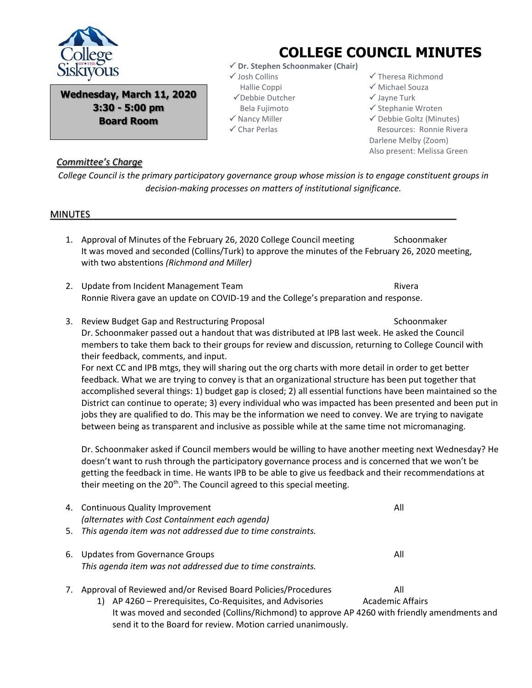

**Wednesday, March 11, 2020 3:30 - 5:00 pm Board Room**

## **COLLEGE COUNCIL MINUTES**

- **Dr. Stephen Schoonmaker (Chair)**
- Josh Collins
	- Hallie Coppi
- Debbie Dutcher
- Bela Fujimoto
- $\checkmark$  Nancy Miller
- $\checkmark$  Char Perlas
- $\checkmark$  Theresa Richmond
- Michael Souza
- $\checkmark$  Jayne Turk
- $\checkmark$  Stephanie Wroten
- $\checkmark$  Debbie Goltz (Minutes) Resources: Ronnie Rivera Darlene Melby (Zoom) Also present: Melissa Green

## *Committee's Charge*

*College Council is the primary participatory governance group whose mission is to engage constituent groups in decision-making processes on matters of institutional significance.*

## MINUTES

- 1. Approval of Minutes of the February 26, 2020 College Council meeting Schoonmaker It was moved and seconded (Collins/Turk) to approve the minutes of the February 26, 2020 meeting, with two abstentions *(Richmond and Miller)*
- 2. Update from Incident Management Team Rivera Ronnie Rivera gave an update on COVID-19 and the College's preparation and response.
- 3. Review Budget Gap and Restructuring Proposal Schoonmaker Schoonmaker Dr. Schoonmaker passed out a handout that was distributed at IPB last week. He asked the Council members to take them back to their groups for review and discussion, returning to College Council with their feedback, comments, and input. For next CC and IPB mtgs, they will sharing out the org charts with more detail in order to get better feedback. What we are trying to convey is that an organizational structure has been put together that accomplished several things: 1) budget gap is closed; 2) all essential functions have been maintained so the

District can continue to operate; 3) every individual who was impacted has been presented and been put in jobs they are qualified to do. This may be the information we need to convey. We are trying to navigate between being as transparent and inclusive as possible while at the same time not micromanaging.

Dr. Schoonmaker asked if Council members would be willing to have another meeting next Wednesday? He doesn't want to rush through the participatory governance process and is concerned that we won't be getting the feedback in time. He wants IPB to be able to give us feedback and their recommendations at their meeting on the 20<sup>th</sup>. The Council agreed to this special meeting.

|    | 4. Continuous Quality Improvement<br>(alternates with Cost Containment each agenda)           | All |
|----|-----------------------------------------------------------------------------------------------|-----|
|    | 5. This agenda item was not addressed due to time constraints.                                |     |
| 6. | Updates from Governance Groups<br>This agenda item was not addressed due to time constraints. | All |
| 7. | Approval of Reviewed and/or Revised Board Policies/Procedures                                 | All |

1) AP 4260 – Prerequisites, Co-Requisites, and Advisories Academic Affairs It was moved and seconded (Collins/Richmond) to approve AP 4260 with friendly amendments and send it to the Board for review. Motion carried unanimously.